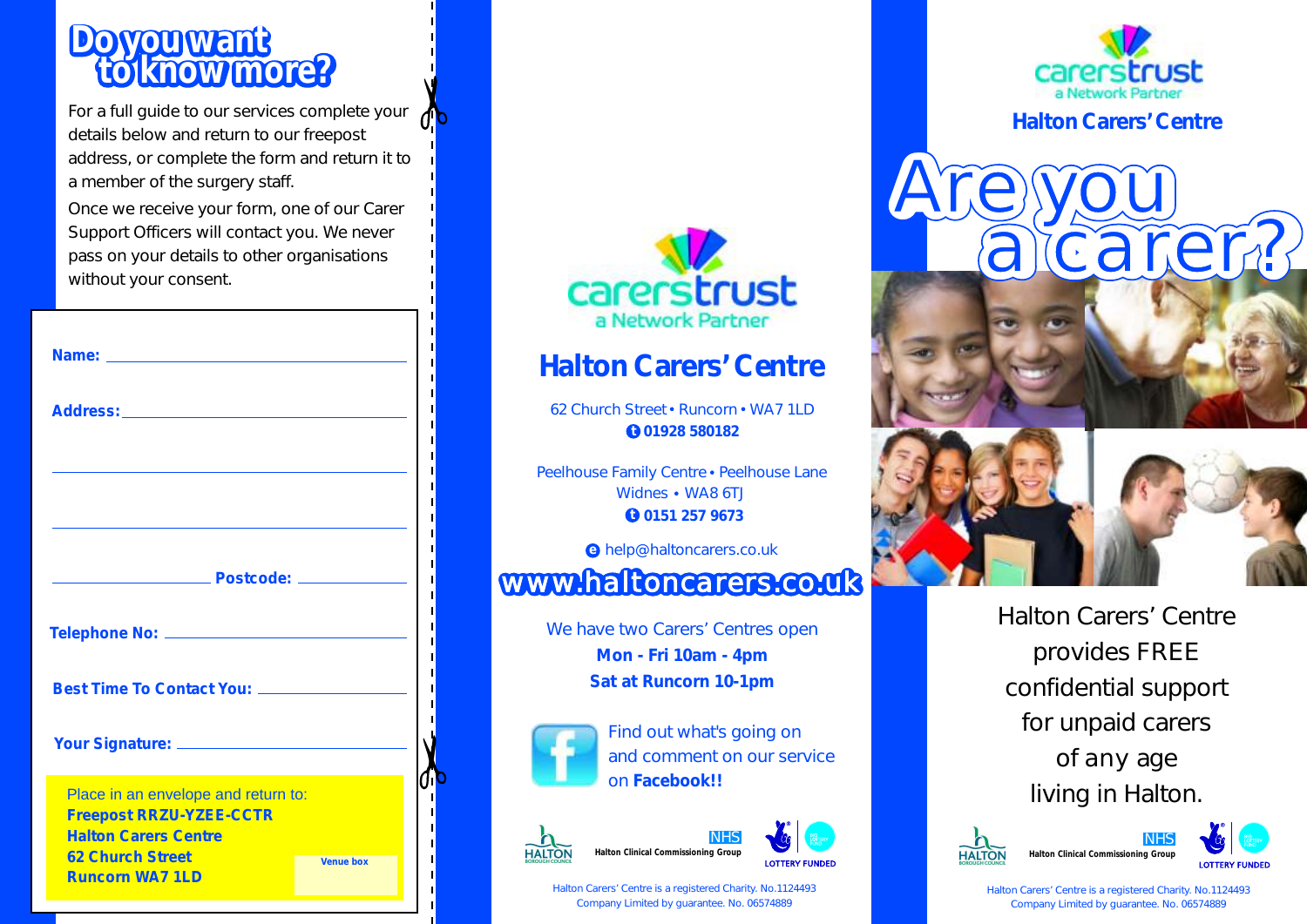## **Do you want to know more?**

For a full guide to our services complete your details below and return to our freepost address, or complete the form and return it to a member of the surgery staff.

Once we receive your form, one of our Carer Support Officers will contact you. We never pass on your details to other organisations without your consent.

| <b>Example 20 Postcode:</b> Postcode:                                                                |  |
|------------------------------------------------------------------------------------------------------|--|
|                                                                                                      |  |
| Best Time To Contact You: _______________                                                            |  |
|                                                                                                      |  |
| Place in an envelope and return to:<br><b>Freepost RRZU-YZEE-CCTR</b><br><b>Halton Carers Centre</b> |  |
| <b>62 Church Street</b><br><b>Venue box</b><br><b>Runcorn WA7 1LD</b>                                |  |



### **Halton Carers'Centre**

62 Church Street • Runcorn • WA7 1LD **01928 580182 t**

Peelhouse Family Centre . Peelhouse Lane Widnes • WA8 6TJ **0151 257 9673 t**

help@haltoncarers.co.uk **e**

www.haltoncarers.co.uk

We have two Carers' Centres open **Mon - Fri 10am - 4pm Sat at Runcorn 10-1pm**



Find out what's going on and comment on our service on **Facebook!!**





**LOTTERY FUNDED** 

Halton Carers' Centre is a registered Charity. No.1124493 Company Limited by guarantee. No. 06574889



**Halton Carers'Centre**



Halton Carers' Centre provides FREE confidential support for unpaid carers of any age living in Halton.







Halton Carers' Centre is a registered Charity. No.1124493 Company Limited by guarantee. No. 06574889